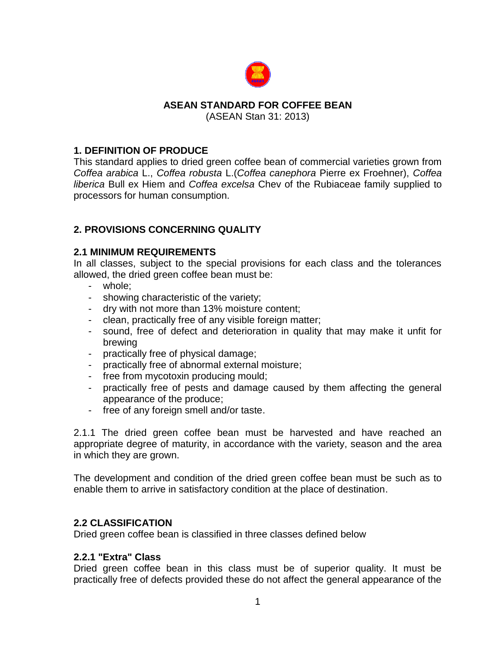

### **ASEAN STANDARD FOR COFFEE BEAN**

(ASEAN Stan 31: 2013)

### **1. DEFINITION OF PRODUCE**

This standard applies to dried green coffee bean of commercial varieties grown from *Coffea arabica* L., *Coffea robusta* L.(*Coffea canephora* Pierre ex Froehner), *Coffea liberica* Bull ex Hiem and *Coffea excelsa* Chev of the Rubiaceae family supplied to processors for human consumption.

## **2. PROVISIONS CONCERNING QUALITY**

## **2.1 MINIMUM REQUIREMENTS**

In all classes, subject to the special provisions for each class and the tolerances allowed, the dried green coffee bean must be:

- whole;
- showing characteristic of the variety;
- dry with not more than 13% moisture content;
- clean, practically free of any visible foreign matter;
- sound, free of defect and deterioration in quality that may make it unfit for brewing
- practically free of physical damage;
- practically free of abnormal external moisture;
- free from mycotoxin producing mould;
- practically free of pests and damage caused by them affecting the general appearance of the produce;
- free of any foreign smell and/or taste.

2.1.1 The dried green coffee bean must be harvested and have reached an appropriate degree of maturity, in accordance with the variety, season and the area in which they are grown.

The development and condition of the dried green coffee bean must be such as to enable them to arrive in satisfactory condition at the place of destination.

## **2.2 CLASSIFICATION**

Dried green coffee bean is classified in three classes defined below

### **2.2.1 "Extra" Class**

Dried green coffee bean in this class must be of superior quality. It must be practically free of defects provided these do not affect the general appearance of the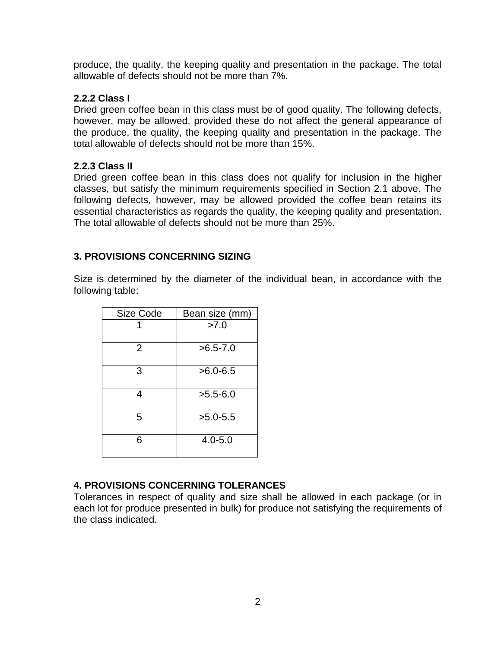produce, the quality, the keeping quality and presentation in the package. The total allowable of defects should not be more than 7%.

### **2.2.2 Class I**

Dried green coffee bean in this class must be of good quality. The following defects, however, may be allowed, provided these do not affect the general appearance of the produce, the quality, the keeping quality and presentation in the package. The total allowable of defects should not be more than 15%.

### **2.2.3 Class II**

Dried green coffee bean in this class does not qualify for inclusion in the higher classes, but satisfy the minimum requirements specified in Section 2.1 above. The following defects, however, may be allowed provided the coffee bean retains its essential characteristics as regards the quality, the keeping quality and presentation. The total allowable of defects should not be more than 25%.

## **3. PROVISIONS CONCERNING SIZING**

Size is determined by the diameter of the individual bean, in accordance with the following table:

| Size Code      | Bean size (mm) |  |
|----------------|----------------|--|
|                | >7.0           |  |
| $\overline{2}$ | $>6.5 - 7.0$   |  |
| 3              | $>6.0 - 6.5$   |  |
| 4              | $>5.5-6.0$     |  |
| 5              | $>5.0 - 5.5$   |  |
| 6              | $4.0 - 5.0$    |  |

## **4. PROVISIONS CONCERNING TOLERANCES**

Tolerances in respect of quality and size shall be allowed in each package (or in each lot for produce presented in bulk) for produce not satisfying the requirements of the class indicated.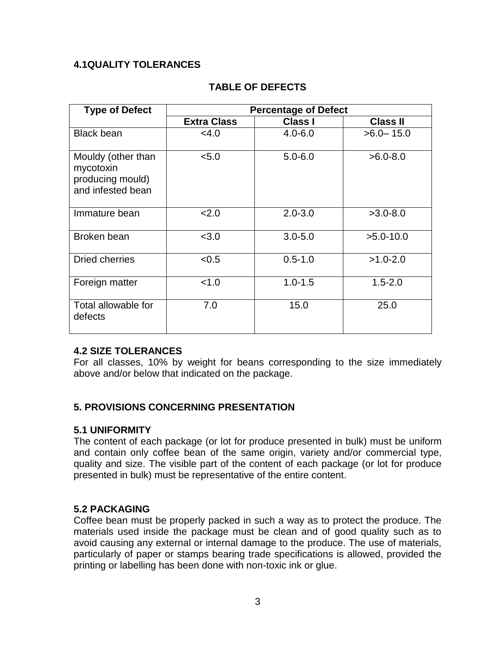## **4.1QUALITY TOLERANCES**

| <b>Type of Defect</b>                                                    | <b>Percentage of Defect</b> |                |                 |
|--------------------------------------------------------------------------|-----------------------------|----------------|-----------------|
|                                                                          | <b>Extra Class</b>          | <b>Class I</b> | <b>Class II</b> |
| <b>Black bean</b>                                                        | $<$ 4.0                     | $4.0 - 6.0$    | $>6.0 - 15.0$   |
| Mouldy (other than<br>mycotoxin<br>producing mould)<br>and infested bean | < 5.0                       | $5.0 - 6.0$    | $>6.0 - 8.0$    |
| Immature bean                                                            | 2.0                         | $2.0 - 3.0$    | $>3.0 - 8.0$    |
| Broken bean                                                              | < 3.0                       | $3.0 - 5.0$    | $>5.0-10.0$     |
| Dried cherries                                                           | < 0.5                       | $0.5 - 1.0$    | $>1.0 - 2.0$    |
| Foreign matter                                                           | < 1.0                       | $1.0 - 1.5$    | $1.5 - 2.0$     |
| Total allowable for<br>defects                                           | 7.0                         | 15.0           | 25.0            |

# **TABLE OF DEFECTS**

### **4.2 SIZE TOLERANCES**

For all classes, 10% by weight for beans corresponding to the size immediately above and/or below that indicated on the package.

### **5. PROVISIONS CONCERNING PRESENTATION**

### **5.1 UNIFORMITY**

The content of each package (or lot for produce presented in bulk) must be uniform and contain only coffee bean of the same origin, variety and/or commercial type, quality and size. The visible part of the content of each package (or lot for produce presented in bulk) must be representative of the entire content.

### **5.2 PACKAGING**

Coffee bean must be properly packed in such a way as to protect the produce. The materials used inside the package must be clean and of good quality such as to avoid causing any external or internal damage to the produce. The use of materials, particularly of paper or stamps bearing trade specifications is allowed, provided the printing or labelling has been done with non-toxic ink or glue.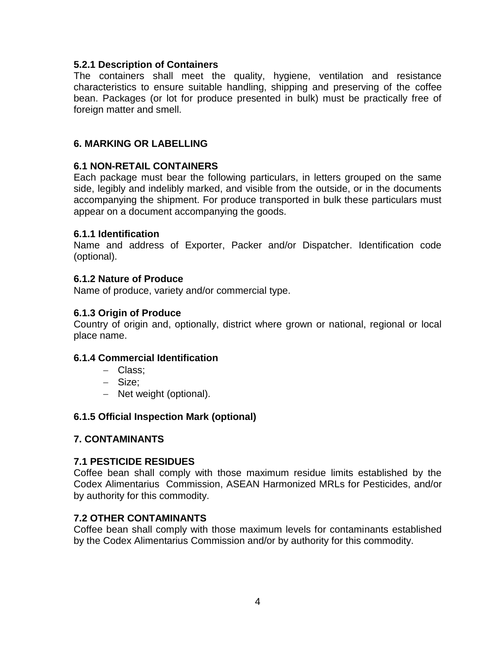### **5.2.1 Description of Containers**

The containers shall meet the quality, hygiene, ventilation and resistance characteristics to ensure suitable handling, shipping and preserving of the coffee bean. Packages (or lot for produce presented in bulk) must be practically free of foreign matter and smell.

## **6. MARKING OR LABELLING**

### **6.1 NON-RETAIL CONTAINERS**

Each package must bear the following particulars, in letters grouped on the same side, legibly and indelibly marked, and visible from the outside, or in the documents accompanying the shipment. For produce transported in bulk these particulars must appear on a document accompanying the goods.

#### **6.1.1 Identification**

Name and address of Exporter, Packer and/or Dispatcher. Identification code (optional).

### **6.1.2 Nature of Produce**

Name of produce, variety and/or commercial type.

### **6.1.3 Origin of Produce**

Country of origin and, optionally, district where grown or national, regional or local place name.

### **6.1.4 Commercial Identification**

- Class;
- Size;
- Net weight (optional).

### **6.1.5 Official Inspection Mark (optional)**

### **7. CONTAMINANTS**

### **7.1 PESTICIDE RESIDUES**

Coffee bean shall comply with those maximum residue limits established by the Codex Alimentarius Commission, ASEAN Harmonized MRLs for Pesticides, and/or by authority for this commodity.

### **7.2 OTHER CONTAMINANTS**

Coffee bean shall comply with those maximum levels for contaminants established by the Codex Alimentarius Commission and/or by authority for this commodity.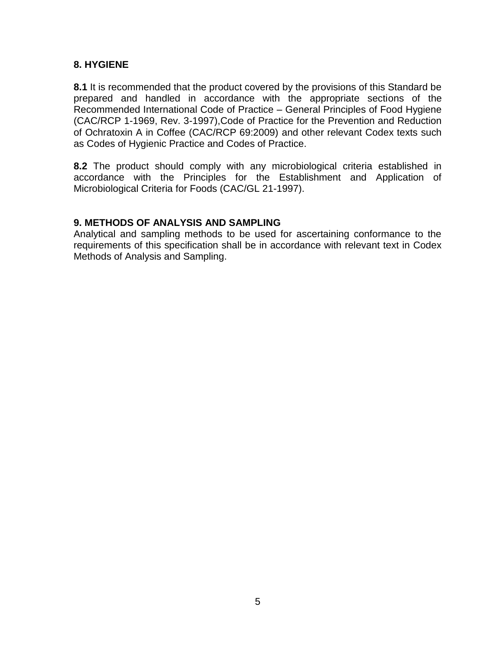## **8. HYGIENE**

**8.1** It is recommended that the product covered by the provisions of this Standard be prepared and handled in accordance with the appropriate sections of the Recommended International Code of Practice – General Principles of Food Hygiene (CAC/RCP 1-1969, Rev. 3-1997),Code of Practice for the Prevention and Reduction of Ochratoxin A in Coffee (CAC/RCP 69:2009) and other relevant Codex texts such as Codes of Hygienic Practice and Codes of Practice.

**8.2** The product should comply with any microbiological criteria established in accordance with the Principles for the Establishment and Application of Microbiological Criteria for Foods (CAC/GL 21-1997).

### **9. METHODS OF ANALYSIS AND SAMPLING**

Analytical and sampling methods to be used for ascertaining conformance to the requirements of this specification shall be in accordance with relevant text in Codex Methods of Analysis and Sampling.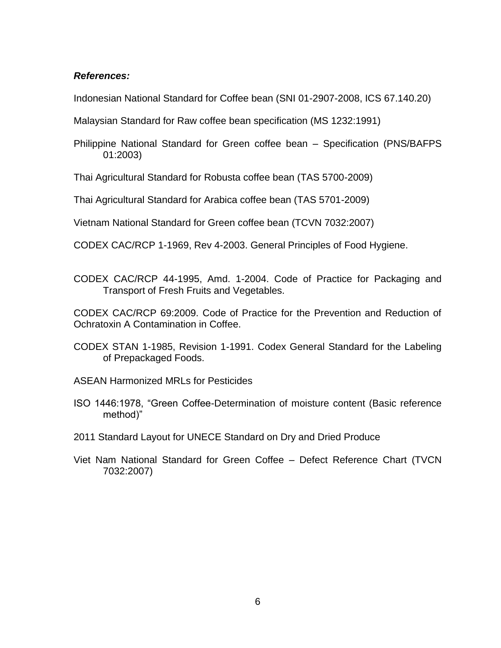### *References:*

Indonesian National Standard for Coffee bean (SNI 01-2907-2008, ICS 67.140.20)

Malaysian Standard for Raw coffee bean specification (MS 1232:1991)

Philippine National Standard for Green coffee bean – Specification (PNS/BAFPS 01:2003)

Thai Agricultural Standard for Robusta coffee bean (TAS 5700-2009)

Thai Agricultural Standard for Arabica coffee bean (TAS 5701-2009)

Vietnam National Standard for Green coffee bean (TCVN 7032:2007)

CODEX CAC/RCP 1-1969, Rev 4-2003. General Principles of Food Hygiene.

CODEX CAC/RCP 44-1995, Amd. 1-2004. Code of Practice for Packaging and Transport of Fresh Fruits and Vegetables.

CODEX CAC/RCP 69:2009. Code of Practice for the Prevention and Reduction of Ochratoxin A Contamination in Coffee.

CODEX STAN 1-1985, Revision 1-1991. Codex General Standard for the Labeling of Prepackaged Foods.

ASEAN Harmonized MRLs for Pesticides

ISO 1446:1978, "Green Coffee-Determination of moisture content (Basic reference method)"

2011 Standard Layout for UNECE Standard on Dry and Dried Produce

Viet Nam National Standard for Green Coffee – Defect Reference Chart (TVCN 7032:2007)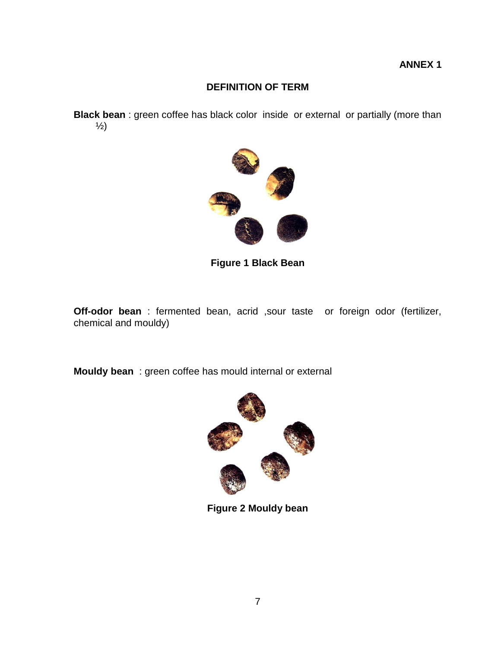# **DEFINITION OF TERM**

**Black bean** : green coffee has black color inside or external or partially (more than  $\frac{1}{2}$ 



**Figure 1 Black Bean**

**Off-odor bean** : fermented bean, acrid ,sour taste or foreign odor (fertilizer, chemical and mouldy)

**Mouldy bean** : green coffee has mould internal or external



**Figure 2 Mouldy bean**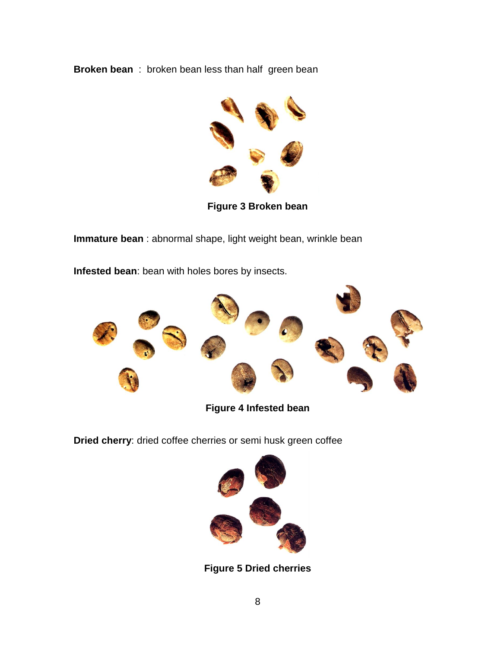**Broken bean** : broken bean less than half green bean



**Figure 3 Broken bean**

**Immature bean** : abnormal shape, light weight bean, wrinkle bean

**Infested bean**: bean with holes bores by insects.



**Figure 4 Infested bean**

**Dried cherry**: dried coffee cherries or semi husk green coffee



**Figure 5 Dried cherries**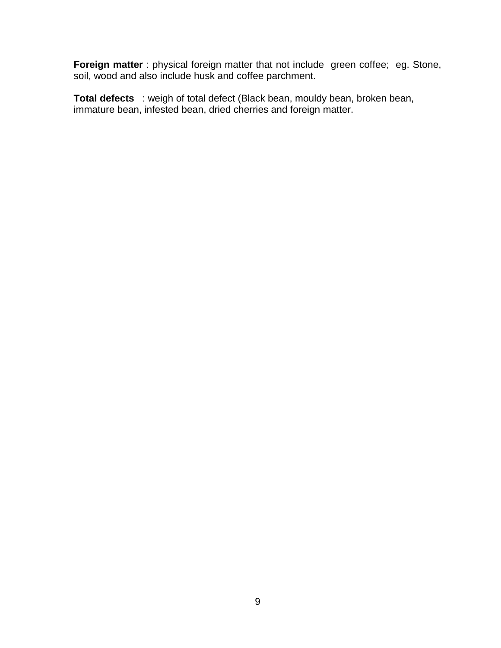**Foreign matter** : physical foreign matter that not include green coffee; eg. Stone, soil, wood and also include husk and coffee parchment.

**Total defects** : weigh of total defect (Black bean, mouldy bean, broken bean, immature bean, infested bean, dried cherries and foreign matter.